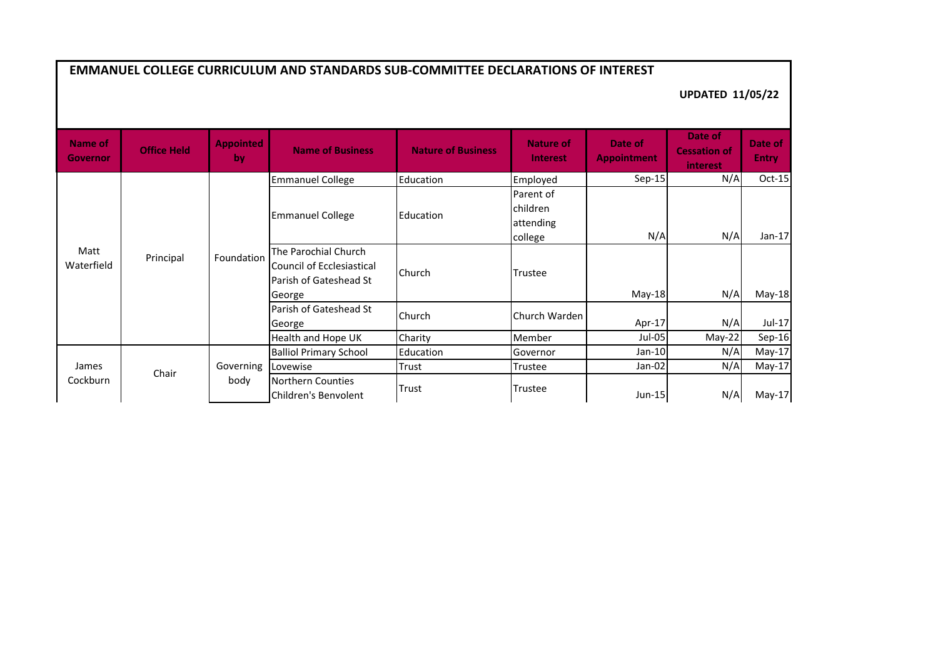| <b>EMMANUEL COLLEGE CURRICULUM AND STANDARDS SUB-COMMITTEE DECLARATIONS OF INTEREST</b> |                    |                        |                                                                                              |                           |                                               |                               |                                            |                         |  |
|-----------------------------------------------------------------------------------------|--------------------|------------------------|----------------------------------------------------------------------------------------------|---------------------------|-----------------------------------------------|-------------------------------|--------------------------------------------|-------------------------|--|
|                                                                                         |                    |                        |                                                                                              |                           |                                               | <b>UPDATED 11/05/22</b>       |                                            |                         |  |
| Name of<br><b>Governor</b>                                                              | <b>Office Held</b> | <b>Appointed</b><br>by | <b>Name of Business</b>                                                                      | <b>Nature of Business</b> | <b>Nature of</b><br><b>Interest</b>           | Date of<br><b>Appointment</b> | Date of<br><b>Cessation of</b><br>interest | Date of<br><b>Entry</b> |  |
| Matt<br>Waterfield                                                                      | Principal          | Foundation             | <b>Emmanuel College</b>                                                                      | Education                 | Employed                                      | $Sep-15$                      | N/A                                        | Oct-15                  |  |
|                                                                                         |                    |                        | <b>Emmanuel College</b>                                                                      | Education                 | Parent of<br>children<br>attending<br>college | N/A                           | N/A                                        | Jan-17                  |  |
|                                                                                         |                    |                        | The Parochial Church<br><b>Council of Ecclesiastical</b><br>Parish of Gateshead St<br>George | Church                    | Trustee                                       | May-18                        | N/A                                        | May-18                  |  |
|                                                                                         |                    |                        | Parish of Gateshead St<br>George                                                             | Church                    | Church Warden                                 | Apr-17                        | N/A                                        | Jul-17                  |  |
|                                                                                         |                    |                        | Health and Hope UK                                                                           | Charity                   | Member                                        | Jul-05                        | May-22                                     | Sep-16                  |  |
| James<br>Cockburn                                                                       | Chair              | Governing              | <b>Balliol Primary School</b>                                                                | Education                 | Governor                                      | Jan-10                        | N/A                                        | $May-17$                |  |
|                                                                                         |                    |                        | Lovewise                                                                                     | Trust                     | Trustee                                       | Jan-02                        | N/A                                        | $May-17$                |  |
|                                                                                         |                    | body                   | <b>Northern Counties</b><br>Children's Benvolent                                             | Trust                     | Trustee                                       | Jun-15                        | N/A                                        | $May-17$                |  |